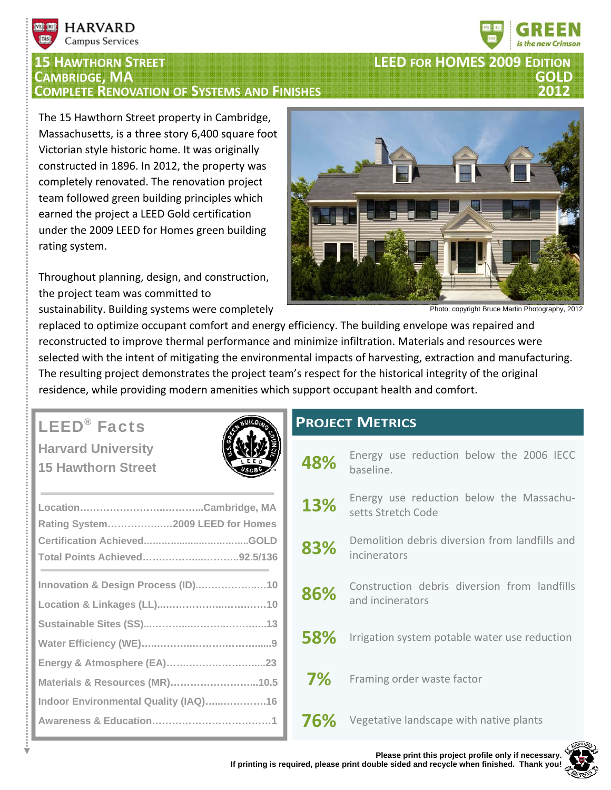

# **<sup>15</sup> HAWTHORN STREET LEED FOR HOMES <sup>2009</sup> EDITION CAMBRIDGE, MA GOLD COMPLETE RENOVATION OF SYSTEMS AND FINISHES 2012**

**TEST 150** 

**HARVARD Campus Services** 

The 15 Hawthorn Street property in Cambridge, Massachusetts, is a three story 6,400 square foot Victorian style historic home. It was originally constructed in 1896. In 2012, the property was completely renovated. The renovation project team followed green building principles which earned the project a LEED Gold certification under the 2009 LEED for Homes green building rating system.

Throughout planning, design, and construction, the project team was committed to sustainability. Building systems were completely



Photo: copyright Bruce Martin Photography, 2012

replaced to optimize occupant comfort and energy efficiency. The building envelope was repaired and reconstructed to improve thermal performance and minimize infiltration. Materials and resources were selected with the intent of mitigating the environmental impacts of harvesting, extraction and manufacturing. The resulting project demonstrates the project team's respect for the historical integrity of the original residence, while providing modern amenities which support occupant health and comfort.

## LEED® Facts

**Harvard University 15 Hawthorn Street** 



| Rating System2009 LEED for Homes     |  |
|--------------------------------------|--|
|                                      |  |
| Total Points Achieved92.5/136        |  |
| Innovation & Design Process (ID)10   |  |
|                                      |  |
|                                      |  |
|                                      |  |
|                                      |  |
| Materials & Resources (MR)10.5       |  |
| Indoor Environmental Quality (IAQ)16 |  |
|                                      |  |

### **PROJECT METRICS**

**48%** Energy use reduction below the 2006 IECC baseline. 13% Energy use reduction below the Massachusetts Stretch Code 83% Demolition debris diversion from landfills and incinerators 86% Construction debris diversion from landfills and incinerators **58%** Irrigation system potable water use reduction **7%** Framing order waste factor **76%** Vegetative landscape with native plants